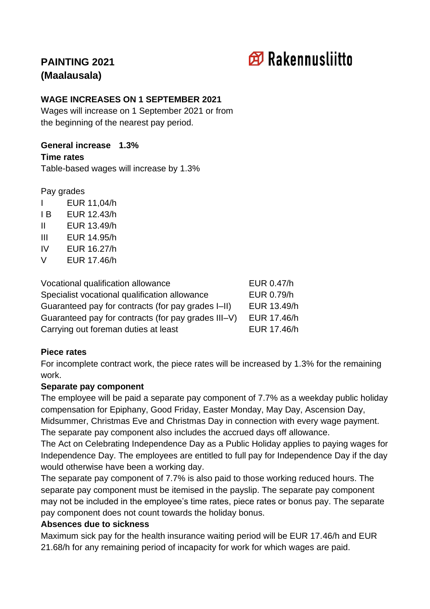# **印 Rakennusliitto**

# **PAINTING 2021 (Maalausala)**

# **WAGE INCREASES ON 1 SEPTEMBER 2021**

Wages will increase on 1 September 2021 or from the beginning of the nearest pay period.

#### **General increase 1.3%**

#### **Time rates**

Table-based wages will increase by 1.3%

Pay grades

- I EUR 11,04/h I B EUR 12.43/h II EUR 13.49/h III EUR 14.95/h IV EUR 16.27/h
- V EUR 17.46/h

| Vocational qualification allowance                  | EUR 0.47/h  |
|-----------------------------------------------------|-------------|
| Specialist vocational qualification allowance       | EUR 0.79/h  |
| Guaranteed pay for contracts (for pay grades I-II)  | EUR 13.49/h |
| Guaranteed pay for contracts (for pay grades III-V) | EUR 17.46/h |
| Carrying out foreman duties at least                | EUR 17.46/h |

# **Piece rates**

For incomplete contract work, the piece rates will be increased by 1.3% for the remaining work.

#### **Separate pay component**

The employee will be paid a separate pay component of 7.7% as a weekday public holiday compensation for Epiphany, Good Friday, Easter Monday, May Day, Ascension Day, Midsummer, Christmas Eve and Christmas Day in connection with every wage payment. The separate pay component also includes the accrued days off allowance.

The Act on Celebrating Independence Day as a Public Holiday applies to paying wages for Independence Day. The employees are entitled to full pay for Independence Day if the day would otherwise have been a working day.

The separate pay component of 7.7% is also paid to those working reduced hours. The separate pay component must be itemised in the payslip. The separate pay component may not be included in the employee's time rates, piece rates or bonus pay. The separate pay component does not count towards the holiday bonus.

# **Absences due to sickness**

Maximum sick pay for the health insurance waiting period will be EUR 17.46/h and EUR 21.68/h for any remaining period of incapacity for work for which wages are paid.